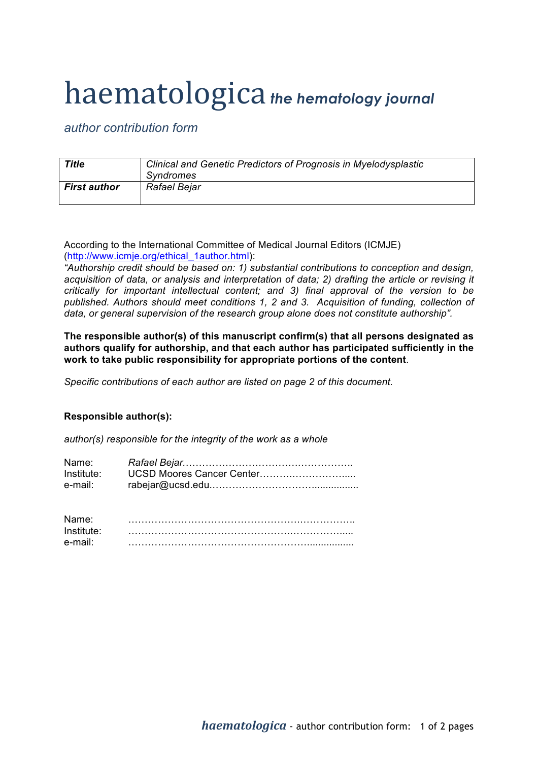## haematologica *the hematology journal*

*author contribution form*

| Title               | Clinical and Genetic Predictors of Prognosis in Myelodysplastic<br>Syndromes |
|---------------------|------------------------------------------------------------------------------|
| <b>First author</b> | Rafael Bejar                                                                 |

According to the International Committee of Medical Journal Editors (ICMJE) (http://www.icmje.org/ethical\_1author.html):

*"Authorship credit should be based on: 1) substantial contributions to conception and design, acquisition of data, or analysis and interpretation of data; 2) drafting the article or revising it critically for important intellectual content; and 3) final approval of the version to be published. Authors should meet conditions 1, 2 and 3. Acquisition of funding, collection of data, or general supervision of the research group alone does not constitute authorship".*

**The responsible author(s) of this manuscript confirm(s) that all persons designated as authors qualify for authorship, and that each author has participated sufficiently in the work to take public responsibility for appropriate portions of the content**.

*Specific contributions of each author are listed on page 2 of this document.*

## **Responsible author(s):**

*author(s) responsible for the integrity of the work as a whole*

| Name:      |  |
|------------|--|
| Institute: |  |
| e-mail:    |  |

| Name:      |  |
|------------|--|
| Institute: |  |
| e-mail:    |  |